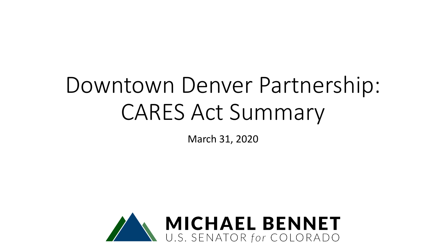# Downtown Denver Partnership: CARES Act Summary

March 31, 2020

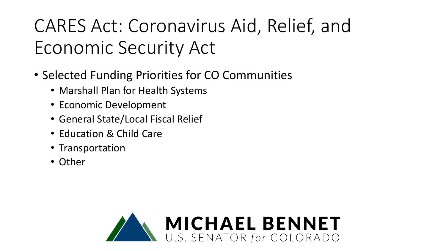# CARES Act: Coronavirus Aid, Relief, and Economic Security Act

- Selected Funding Priorities for CO Communities
	- Marshall Plan for Health Systems
	- Economic Development
	- General State/Local Fiscal Relief
	- Education & Child Care
	- Transportation
	- Other

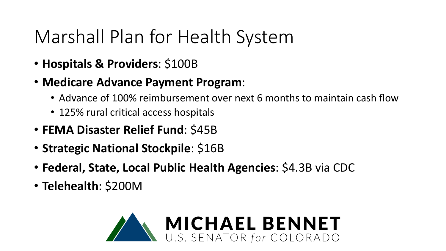#### Marshall Plan for Health System

- **Hospitals & Providers**: \$100B
- **Medicare Advance Payment Program**:
	- Advance of 100% reimbursement over next 6 months to maintain cash flow
	- 125% rural critical access hospitals
- **FEMA Disaster Relief Fund**: \$45B
- **Strategic National Stockpile**: \$16B
- **Federal, State, Local Public Health Agencies**: \$4.3B via CDC
- **Telehealth**: \$200M

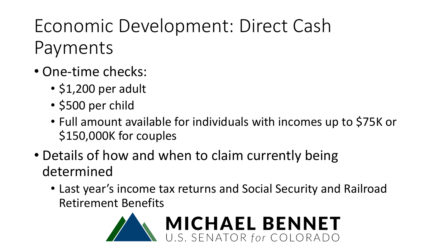# Economic Development: Direct Cash Payments

- One-time checks:
	- \$1,200 per adult
	- \$500 per child
	- Full amount available for individuals with incomes up to \$75K or \$150,000K for couples
- Details of how and when to claim currently being determined
	- Last year's income tax returns and Social Security and Railroad Retirement Benefits

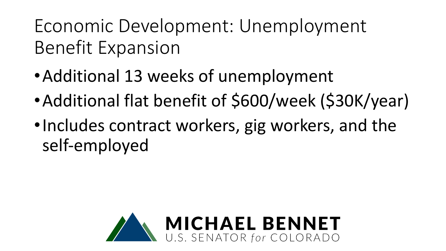## Economic Development: Unemployment Benefit Expansion

- •Additional 13 weeks of unemployment
- •Additional flat benefit of \$600/week (\$30K/year)
- •Includes contract workers, gig workers, and the self-employed

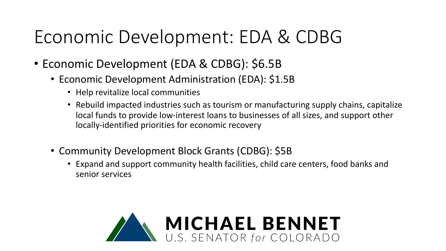#### Economic Development: EDA & CDBG

- Economic Development (EDA & CDBG): \$6.5B
	- Economic Development Administration (EDA): \$1.5B
		- Help revitalize local communities
		- Rebuild impacted industries such as tourism or manufacturing supply chains, capitalize local funds to provide low-interest loans to businesses of all sizes, and support other locally-identified priorities for economic recovery
	- Community Development Block Grants (CDBG): \$5B
		- Expand and support community health facilities, child care centers, food banks and senior services

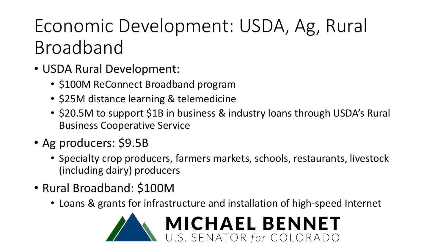# Economic Development: USDA, Ag, Rural Broadband

- USDA Rural Development:
	- \$100M ReConnect Broadband program
	- \$25M distance learning & telemedicine
	- \$20.5M to support \$1B in business & industry loans through USDA's Rural Business Cooperative Service
- Ag producers: \$9.5B
	- Specialty crop producers, farmers markets, schools, restaurants, livestock (including dairy) producers
- Rural Broadband: \$100M
	- Loans & grants for infrastructure and installation of high-speed Internet

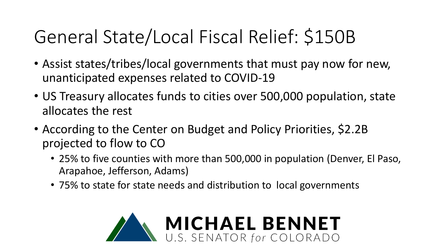# General State/Local Fiscal Relief: \$150B

- Assist states/tribes/local governments that must pay now for new, unanticipated expenses related to COVID-19
- US Treasury allocates funds to cities over 500,000 population, state allocates the rest
- According to the Center on Budget and Policy Priorities, \$2.2B projected to flow to CO
	- 25% to five counties with more than 500,000 in population (Denver, El Paso, Arapahoe, Jefferson, Adams)
	- 75% to state for state needs and distribution to local governments

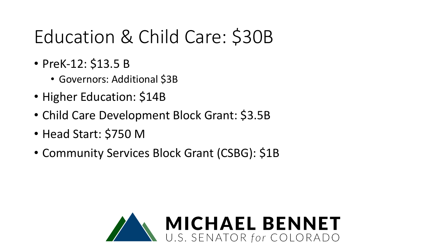## Education & Child Care: \$30B

- PreK-12: \$13.5 B
	- Governors: Additional \$3B
- Higher Education: \$14B
- Child Care Development Block Grant: \$3.5B
- Head Start: \$750 M
- Community Services Block Grant (CSBG): \$1B

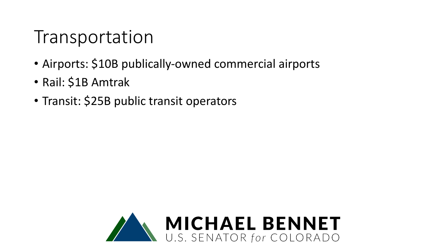#### Transportation

- Airports: \$10B publically-owned commercial airports
- Rail: \$1B Amtrak
- Transit: \$25B public transit operators

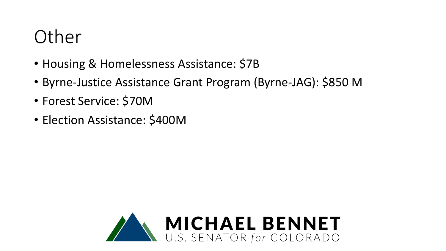#### Other

- Housing & Homelessness Assistance: \$7B
- Byrne-Justice Assistance Grant Program (Byrne-JAG): \$850 M
- Forest Service: \$70M
- Election Assistance: \$400M

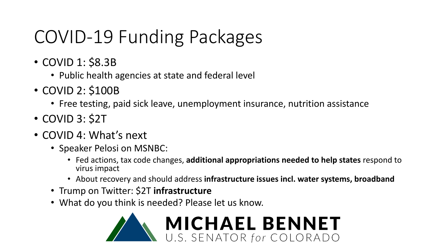#### COVID-19 Funding Packages

- COVID 1: \$8.3B
	- Public health agencies at state and federal level
- COVID 2: \$100B
	- Free testing, paid sick leave, unemployment insurance, nutrition assistance
- COVID 3: \$2T
- COVID 4: What's next
	- Speaker Pelosi on MSNBC:
		- Fed actions, tax code changes, **additional appropriations needed to help states** respond to virus impact
		- About recovery and should address **infrastructure issues incl. water systems, broadband**
	- Trump on Twitter: \$2T **infrastructure**
	- What do you think is needed? Please let us know.